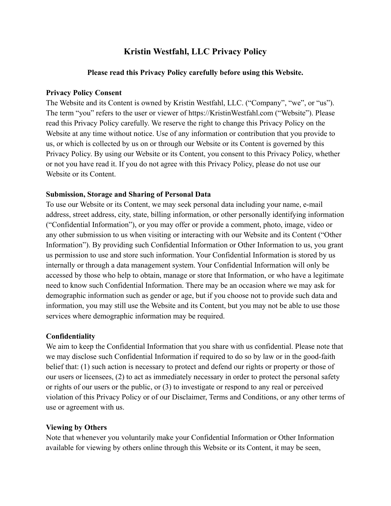# **Kristin Westfahl, LLC Privacy Policy**

#### **Please read this Privacy Policy carefully before using this Website.**

### **Privacy Policy Consent**

The Website and its Content is owned by Kristin Westfahl, LLC. ("Company", "we", or "us"). The term "you" refers to the user or viewer of https://KristinWestfahl.com ("Website"). Please read this Privacy Policy carefully. We reserve the right to change this Privacy Policy on the Website at any time without notice. Use of any information or contribution that you provide to us, or which is collected by us on or through our Website or its Content is governed by this Privacy Policy. By using our Website or its Content, you consent to this Privacy Policy, whether or not you have read it. If you do not agree with this Privacy Policy, please do not use our Website or its Content.

### **Submission, Storage and Sharing of Personal Data**

To use our Website or its Content, we may seek personal data including your name, e-mail address, street address, city, state, billing information, or other personally identifying information ("Confidential Information"), or you may offer or provide a comment, photo, image, video or any other submission to us when visiting or interacting with our Website and its Content ("Other Information"). By providing such Confidential Information or Other Information to us, you grant us permission to use and store such information. Your Confidential Information is stored by us internally or through a data management system. Your Confidential Information will only be accessed by those who help to obtain, manage or store that Information, or who have a legitimate need to know such Confidential Information. There may be an occasion where we may ask for demographic information such as gender or age, but if you choose not to provide such data and information, you may still use the Website and its Content, but you may not be able to use those services where demographic information may be required.

### **Confidentiality**

We aim to keep the Confidential Information that you share with us confidential. Please note that we may disclose such Confidential Information if required to do so by law or in the good-faith belief that: (1) such action is necessary to protect and defend our rights or property or those of our users or licensees, (2) to act as immediately necessary in order to protect the personal safety or rights of our users or the public, or (3) to investigate or respond to any real or perceived violation of this Privacy Policy or of our Disclaimer, Terms and Conditions, or any other terms of use or agreement with us.

### **Viewing by Others**

Note that whenever you voluntarily make your Confidential Information or Other Information available for viewing by others online through this Website or its Content, it may be seen,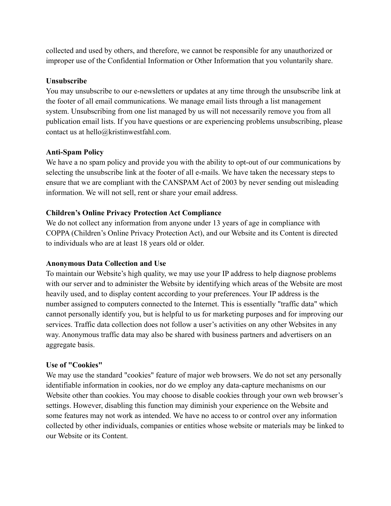collected and used by others, and therefore, we cannot be responsible for any unauthorized or improper use of the Confidential Information or Other Information that you voluntarily share.

## **Unsubscribe**

You may unsubscribe to our e-newsletters or updates at any time through the unsubscribe link at the footer of all email communications. We manage email lists through a list management system. Unsubscribing from one list managed by us will not necessarily remove you from all publication email lists. If you have questions or are experiencing problems unsubscribing, please contact us at hello@kristinwestfahl.com.

# **Anti-Spam Policy**

We have a no spam policy and provide you with the ability to opt-out of our communications by selecting the unsubscribe link at the footer of all e-mails. We have taken the necessary steps to ensure that we are compliant with the CANSPAM Act of 2003 by never sending out misleading information. We will not sell, rent or share your email address.

# **Children's Online Privacy Protection Act Compliance**

We do not collect any information from anyone under 13 years of age in compliance with COPPA (Children's Online Privacy Protection Act), and our Website and its Content is directed to individuals who are at least 18 years old or older.

# **Anonymous Data Collection and Use**

To maintain our Website's high quality, we may use your IP address to help diagnose problems with our server and to administer the Website by identifying which areas of the Website are most heavily used, and to display content according to your preferences. Your IP address is the number assigned to computers connected to the Internet. This is essentially "traffic data" which cannot personally identify you, but is helpful to us for marketing purposes and for improving our services. Traffic data collection does not follow a user's activities on any other Websites in any way. Anonymous traffic data may also be shared with business partners and advertisers on an aggregate basis.

### **Use of "Cookies"**

We may use the standard "cookies" feature of major web browsers. We do not set any personally identifiable information in cookies, nor do we employ any data-capture mechanisms on our Website other than cookies. You may choose to disable cookies through your own web browser's settings. However, disabling this function may diminish your experience on the Website and some features may not work as intended. We have no access to or control over any information collected by other individuals, companies or entities whose website or materials may be linked to our Website or its Content.